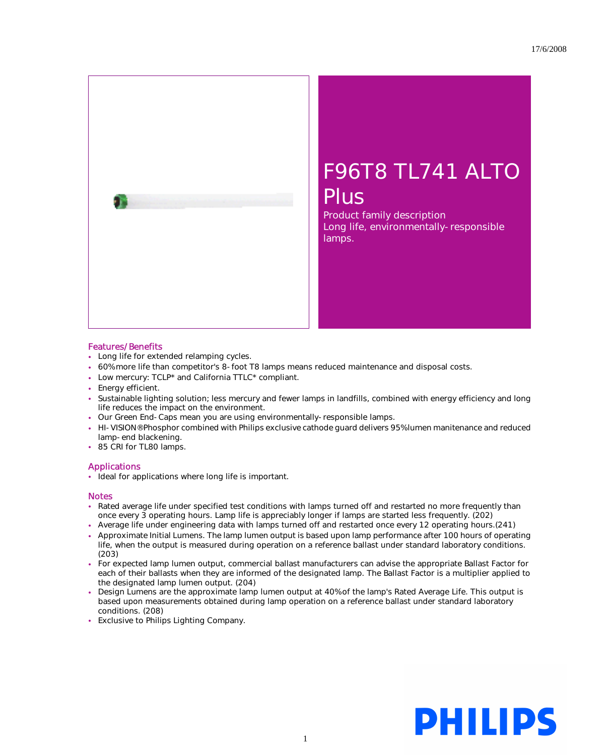

## F96T8 TL741 ALTO Plus

Product family description Long life, environmentally-responsible lamps.

## Features/Benefits

- Long life for extended relamping cycles.
- 60% more life than competitor's 8-foot T8 lamps means reduced maintenance and disposal costs.
- Low mercury: TCLP\* and California TTLC\* compliant.
- Energy efficient.
- Sustainable lighting solution; less mercury and fewer lamps in landfills, combined with energy efficiency and long life reduces the impact on the environment.
- Our Green End-Caps mean you are using environmentally-responsible lamps.
- HI-VISION® Phosphor combined with Philips exclusive cathode guard delivers 95% lumen manitenance and reduced lamp-end blackening.
- 85 CRI for TL80 lamps.

## Applications

• Ideal for applications where long life is important.

## **Notes**

- Rated average life under specified test conditions with lamps turned off and restarted no more frequently than once every 3 operating hours. Lamp life is appreciably longer if lamps are started less frequently. (202)
- Average life under engineering data with lamps turned off and restarted once every 12 operating hours.(241)
- Approximate Initial Lumens. The lamp lumen output is based upon lamp performance after 100 hours of operating life, when the output is measured during operation on a reference ballast under standard laboratory conditions. (203)
- For expected lamp lumen output, commercial ballast manufacturers can advise the appropriate Ballast Factor for each of their ballasts when they are informed of the designated lamp. The Ballast Factor is a multiplier applied to the designated lamp lumen output. (204)
- Design Lumens are the approximate lamp lumen output at 40% of the lamp's Rated Average Life. This output is based upon measurements obtained during lamp operation on a reference ballast under standard laboratory conditions. (208)
- Exclusive to Philips Lighting Company.

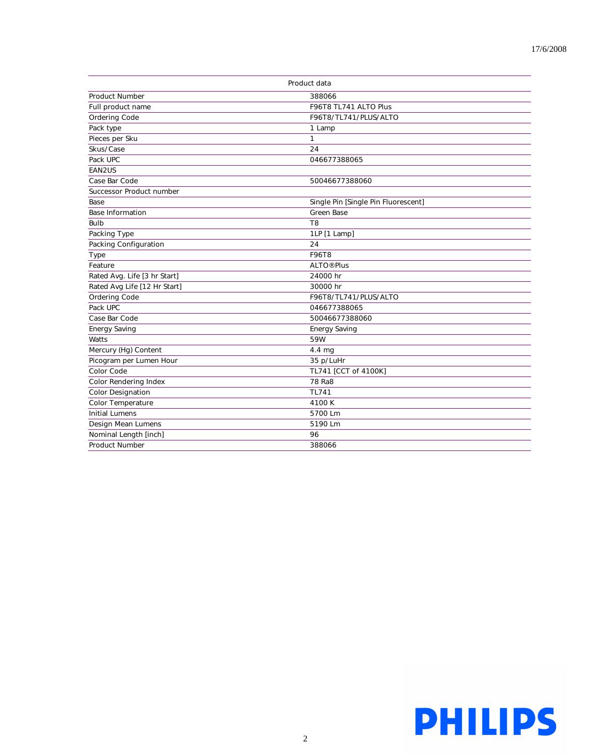| Product data                 |                                     |
|------------------------------|-------------------------------------|
| Product Number               | 388066                              |
| Full product name            | F96T8 TL741 ALTO Plus               |
| Ordering Code                | F96T8/TL741/PLUS/ALTO               |
| Pack type                    | 1 Lamp                              |
| Pieces per Sku               | $\mathbf{1}$                        |
| Skus/Case                    | 24                                  |
| Pack UPC                     | 046677388065                        |
| EAN2US                       |                                     |
| Case Bar Code                | 50046677388060                      |
| Successor Product number     |                                     |
| Base                         | Single Pin [Single Pin Fluorescent] |
| <b>Base Information</b>      | <b>Green Base</b>                   |
| <b>Bulb</b>                  | T <sub>8</sub>                      |
| Packing Type                 | 1LP [1 Lamp]                        |
| Packing Configuration        | 24                                  |
| Type                         | <b>F96T8</b>                        |
| Feature                      | <b>ALTO® Plus</b>                   |
| Rated Avg. Life [3 hr Start] | 24000 hr                            |
| Rated Avg Life [12 Hr Start] | 30000 hr                            |
| Ordering Code                | F96T8/TL741/PLUS/ALTO               |
| Pack UPC                     | 046677388065                        |
| Case Bar Code                | 50046677388060                      |
| <b>Energy Saving</b>         | <b>Energy Saving</b>                |
| Watts                        | 59W                                 |
| Mercury (Hg) Content         | 4.4 mg                              |
| Picogram per Lumen Hour      | 35 p/LuHr                           |
| Color Code                   | TL741 [CCT of 4100K]                |
| Color Rendering Index        | 78 Ra8                              |
| <b>Color Designation</b>     | TL741                               |
| Color Temperature            | 4100K                               |
| <b>Initial Lumens</b>        | 5700 Lm                             |
| Design Mean Lumens           | 5190 Lm                             |
| Nominal Length [inch]        | 96                                  |
| <b>Product Number</b>        | 388066                              |